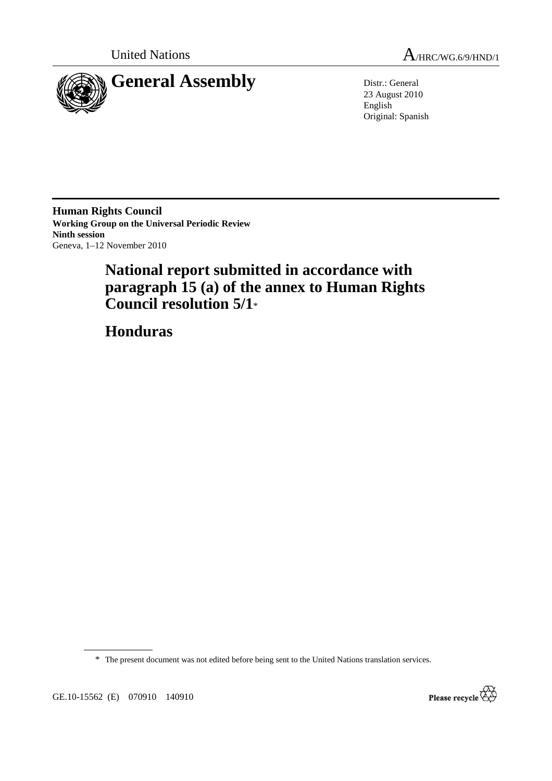



23 August 2010 English Original: Spanish

**Human Rights Council Working Group on the Universal Periodic Review Ninth session**  Geneva, 1–12 November 2010

# **National report submitted in accordance with paragraph 15 (a) of the annex to Human Rights Council resolution 5/1**\*

 **Honduras** 

\* The present document was not edited before being sent to the United Nations translation services.

GE.10-15562 (E) 070910 140910

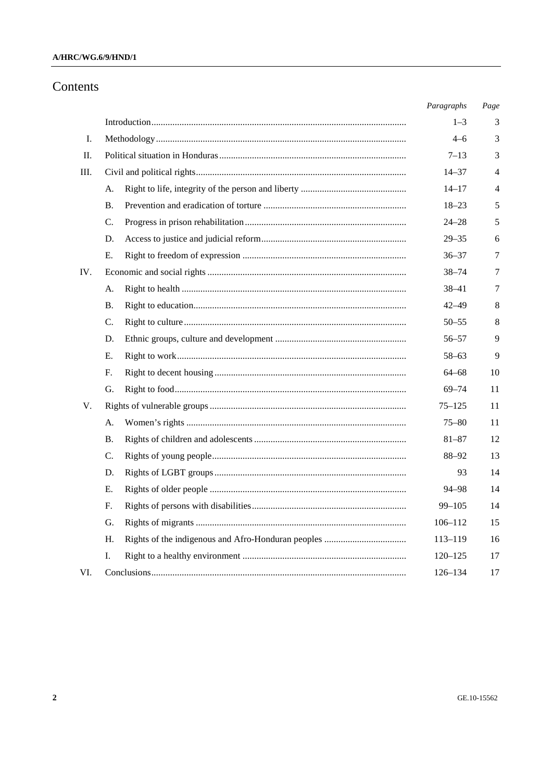### A/HRC/WG.6/9/HND/1

# Contents

|     |                |  | Paragraphs  | Page |
|-----|----------------|--|-------------|------|
|     |                |  | $1 - 3$     | 3    |
| Ι.  |                |  | $4 - 6$     | 3    |
| П.  |                |  | $7 - 13$    | 3    |
| Ш.  |                |  | $14 - 37$   | 4    |
|     | А.             |  | $14 - 17$   | 4    |
|     | Β.             |  | $18 - 23$   | 5    |
|     | C.             |  | $24 - 28$   | 5    |
|     | D.             |  | $29 - 35$   | 6    |
|     | Е.             |  | $36 - 37$   | 7    |
| IV. |                |  | $38 - 74$   | 7    |
|     | А.             |  | $38 - 41$   | 7    |
|     | Β.             |  | $42 - 49$   | 8    |
|     | $\mathbf{C}$ . |  | $50 - 55$   | 8    |
|     | D.             |  | 56–57       | 9    |
|     | Е.             |  | $58 - 63$   | 9    |
|     | F.             |  | 64–68       | 10   |
|     | G.             |  | $69 - 74$   | 11   |
| V.  |                |  | $75 - 125$  | 11   |
|     | А.             |  | 75–80       | 11   |
|     | В.             |  | $81 - 87$   | 12   |
|     | C.             |  | 88-92       | 13   |
|     | D.             |  | 93          | 14   |
|     | Е.             |  | 94–98       | 14   |
|     | F.             |  | $99 - 105$  | 14   |
|     | G.             |  | $106 - 112$ | 15   |
|     | Н.             |  | $113 - 119$ | 16   |
|     | I.             |  | $120 - 125$ | 17   |
| VI. |                |  | 126-134     | 17   |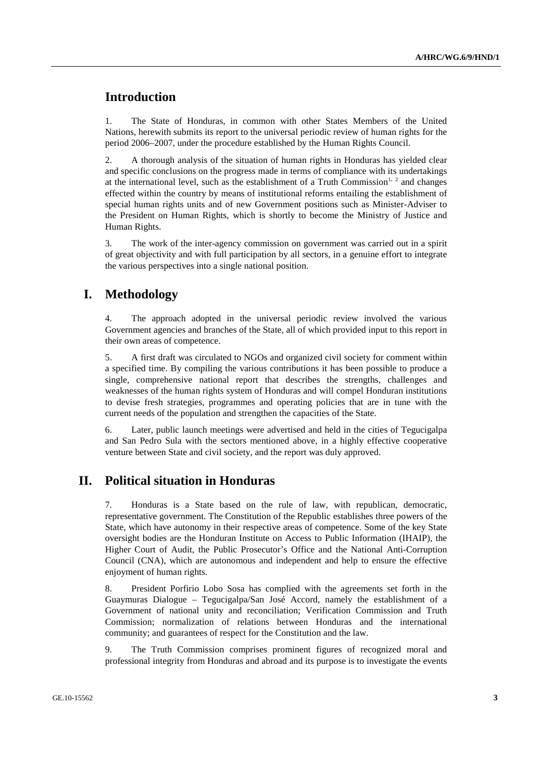# **Introduction**

1. The State of Honduras, in common with other States Members of the United Nations, herewith submits its report to the universal periodic review of human rights for the period 2006–2007, under the procedure established by the Human Rights Council.

2. A thorough analysis of the situation of human rights in Honduras has yielded clear and specific conclusions on the progress made in terms of compliance with its undertakings at the international level, such as the establishment of a Truth Commission<sup>1, 2</sup> and changes effected within the country by means of institutional reforms entailing the establishment of special human rights units and of new Government positions such as Minister-Adviser to the President on Human Rights, which is shortly to become the Ministry of Justice and Human Rights.

3. The work of the inter-agency commission on government was carried out in a spirit of great objectivity and with full participation by all sectors, in a genuine effort to integrate the various perspectives into a single national position.

# **I. Methodology**

4. The approach adopted in the universal periodic review involved the various Government agencies and branches of the State, all of which provided input to this report in their own areas of competence.

5. A first draft was circulated to NGOs and organized civil society for comment within a specified time. By compiling the various contributions it has been possible to produce a single, comprehensive national report that describes the strengths, challenges and weaknesses of the human rights system of Honduras and will compel Honduran institutions to devise fresh strategies, programmes and operating policies that are in tune with the current needs of the population and strengthen the capacities of the State.

6. Later, public launch meetings were advertised and held in the cities of Tegucigalpa and San Pedro Sula with the sectors mentioned above, in a highly effective cooperative venture between State and civil society, and the report was duly approved.

# **II. Political situation in Honduras**

7. Honduras is a State based on the rule of law, with republican, democratic, representative government. The Constitution of the Republic establishes three powers of the State, which have autonomy in their respective areas of competence. Some of the key State oversight bodies are the Honduran Institute on Access to Public Information (IHAIP), the Higher Court of Audit, the Public Prosecutor's Office and the National Anti-Corruption Council (CNA), which are autonomous and independent and help to ensure the effective enjoyment of human rights.

8. President Porfirio Lobo Sosa has complied with the agreements set forth in the Guaymuras Dialogue – Tegucigalpa/San José Accord, namely the establishment of a Government of national unity and reconciliation; Verification Commission and Truth Commission; normalization of relations between Honduras and the international community; and guarantees of respect for the Constitution and the law.

9. The Truth Commission comprises prominent figures of recognized moral and professional integrity from Honduras and abroad and its purpose is to investigate the events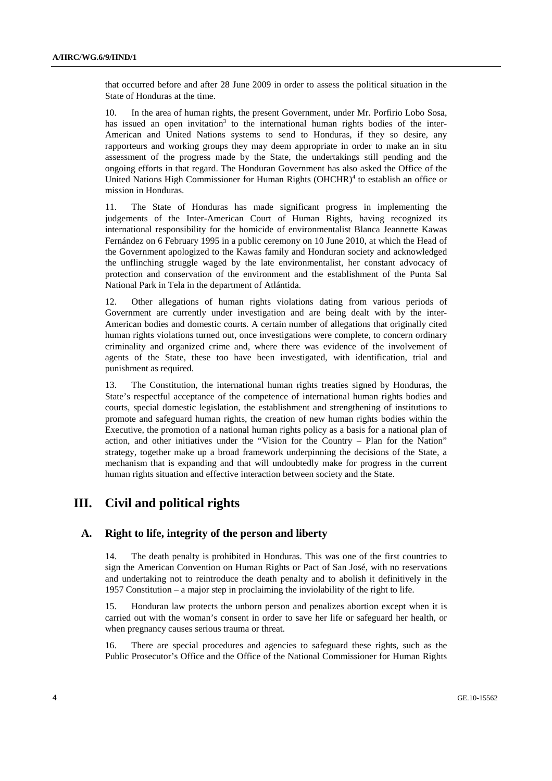that occurred before and after 28 June 2009 in order to assess the political situation in the State of Honduras at the time.

10. In the area of human rights, the present Government, under Mr. Porfirio Lobo Sosa, has issued an open invitation<sup>3</sup> to the international human rights bodies of the inter-American and United Nations systems to send to Honduras, if they so desire, any rapporteurs and working groups they may deem appropriate in order to make an in situ assessment of the progress made by the State, the undertakings still pending and the ongoing efforts in that regard. The Honduran Government has also asked the Office of the United Nations High Commissioner for Human Rights (OHCHR)<sup>4</sup> to establish an office or mission in Honduras.

11. The State of Honduras has made significant progress in implementing the judgements of the Inter-American Court of Human Rights, having recognized its international responsibility for the homicide of environmentalist Blanca Jeannette Kawas Fernández on 6 February 1995 in a public ceremony on 10 June 2010, at which the Head of the Government apologized to the Kawas family and Honduran society and acknowledged the unflinching struggle waged by the late environmentalist, her constant advocacy of protection and conservation of the environment and the establishment of the Punta Sal National Park in Tela in the department of Atlántida.

12. Other allegations of human rights violations dating from various periods of Government are currently under investigation and are being dealt with by the inter-American bodies and domestic courts. A certain number of allegations that originally cited human rights violations turned out, once investigations were complete, to concern ordinary criminality and organized crime and, where there was evidence of the involvement of agents of the State, these too have been investigated, with identification, trial and punishment as required.

13. The Constitution, the international human rights treaties signed by Honduras, the State's respectful acceptance of the competence of international human rights bodies and courts, special domestic legislation, the establishment and strengthening of institutions to promote and safeguard human rights, the creation of new human rights bodies within the Executive, the promotion of a national human rights policy as a basis for a national plan of action, and other initiatives under the "Vision for the Country – Plan for the Nation" strategy, together make up a broad framework underpinning the decisions of the State, a mechanism that is expanding and that will undoubtedly make for progress in the current human rights situation and effective interaction between society and the State.

# **III. Civil and political rights**

### **A. Right to life, integrity of the person and liberty**

14. The death penalty is prohibited in Honduras. This was one of the first countries to sign the American Convention on Human Rights or Pact of San José, with no reservations and undertaking not to reintroduce the death penalty and to abolish it definitively in the 1957 Constitution – a major step in proclaiming the inviolability of the right to life.

15. Honduran law protects the unborn person and penalizes abortion except when it is carried out with the woman's consent in order to save her life or safeguard her health, or when pregnancy causes serious trauma or threat.

16. There are special procedures and agencies to safeguard these rights, such as the Public Prosecutor's Office and the Office of the National Commissioner for Human Rights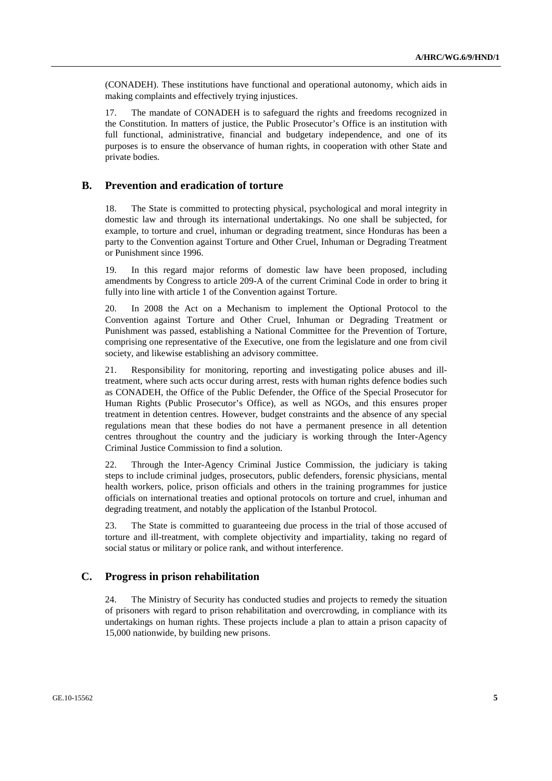(CONADEH). These institutions have functional and operational autonomy, which aids in making complaints and effectively trying injustices.

17. The mandate of CONADEH is to safeguard the rights and freedoms recognized in the Constitution. In matters of justice, the Public Prosecutor's Office is an institution with full functional, administrative, financial and budgetary independence, and one of its purposes is to ensure the observance of human rights, in cooperation with other State and private bodies.

#### **B. Prevention and eradication of torture**

18. The State is committed to protecting physical, psychological and moral integrity in domestic law and through its international undertakings. No one shall be subjected, for example, to torture and cruel, inhuman or degrading treatment, since Honduras has been a party to the Convention against Torture and Other Cruel, Inhuman or Degrading Treatment or Punishment since 1996.

19. In this regard major reforms of domestic law have been proposed, including amendments by Congress to article 209-A of the current Criminal Code in order to bring it fully into line with article 1 of the Convention against Torture.

20. In 2008 the Act on a Mechanism to implement the Optional Protocol to the Convention against Torture and Other Cruel, Inhuman or Degrading Treatment or Punishment was passed, establishing a National Committee for the Prevention of Torture, comprising one representative of the Executive, one from the legislature and one from civil society, and likewise establishing an advisory committee.

21. Responsibility for monitoring, reporting and investigating police abuses and illtreatment, where such acts occur during arrest, rests with human rights defence bodies such as CONADEH, the Office of the Public Defender, the Office of the Special Prosecutor for Human Rights (Public Prosecutor's Office), as well as NGOs, and this ensures proper treatment in detention centres. However, budget constraints and the absence of any special regulations mean that these bodies do not have a permanent presence in all detention centres throughout the country and the judiciary is working through the Inter-Agency Criminal Justice Commission to find a solution.

22. Through the Inter-Agency Criminal Justice Commission, the judiciary is taking steps to include criminal judges, prosecutors, public defenders, forensic physicians, mental health workers, police, prison officials and others in the training programmes for justice officials on international treaties and optional protocols on torture and cruel, inhuman and degrading treatment, and notably the application of the Istanbul Protocol.

23. The State is committed to guaranteeing due process in the trial of those accused of torture and ill-treatment, with complete objectivity and impartiality, taking no regard of social status or military or police rank, and without interference.

#### **C. Progress in prison rehabilitation**

24. The Ministry of Security has conducted studies and projects to remedy the situation of prisoners with regard to prison rehabilitation and overcrowding, in compliance with its undertakings on human rights. These projects include a plan to attain a prison capacity of 15,000 nationwide, by building new prisons.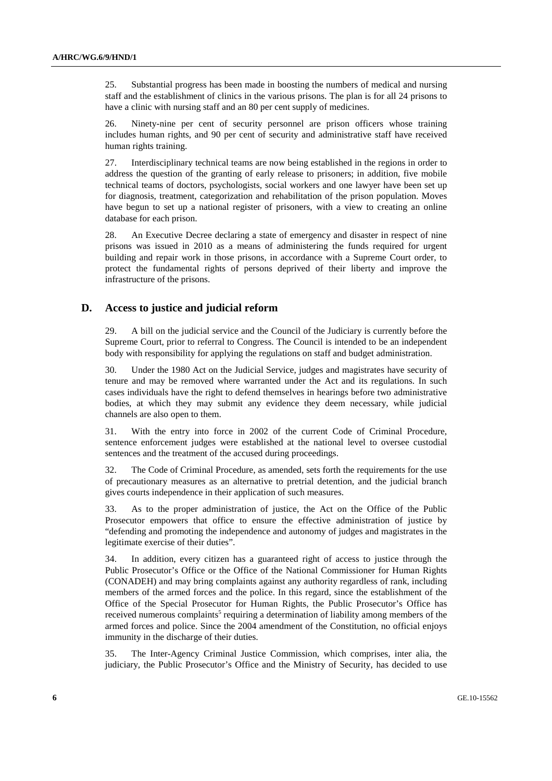25. Substantial progress has been made in boosting the numbers of medical and nursing staff and the establishment of clinics in the various prisons. The plan is for all 24 prisons to have a clinic with nursing staff and an 80 per cent supply of medicines.

26. Ninety-nine per cent of security personnel are prison officers whose training includes human rights, and 90 per cent of security and administrative staff have received human rights training.

27. Interdisciplinary technical teams are now being established in the regions in order to address the question of the granting of early release to prisoners; in addition, five mobile technical teams of doctors, psychologists, social workers and one lawyer have been set up for diagnosis, treatment, categorization and rehabilitation of the prison population. Moves have begun to set up a national register of prisoners, with a view to creating an online database for each prison.

28. An Executive Decree declaring a state of emergency and disaster in respect of nine prisons was issued in 2010 as a means of administering the funds required for urgent building and repair work in those prisons, in accordance with a Supreme Court order, to protect the fundamental rights of persons deprived of their liberty and improve the infrastructure of the prisons.

#### **D. Access to justice and judicial reform**

29. A bill on the judicial service and the Council of the Judiciary is currently before the Supreme Court, prior to referral to Congress. The Council is intended to be an independent body with responsibility for applying the regulations on staff and budget administration.

30. Under the 1980 Act on the Judicial Service, judges and magistrates have security of tenure and may be removed where warranted under the Act and its regulations. In such cases individuals have the right to defend themselves in hearings before two administrative bodies, at which they may submit any evidence they deem necessary, while judicial channels are also open to them.

31. With the entry into force in 2002 of the current Code of Criminal Procedure, sentence enforcement judges were established at the national level to oversee custodial sentences and the treatment of the accused during proceedings.

32. The Code of Criminal Procedure, as amended, sets forth the requirements for the use of precautionary measures as an alternative to pretrial detention, and the judicial branch gives courts independence in their application of such measures.

33. As to the proper administration of justice, the Act on the Office of the Public Prosecutor empowers that office to ensure the effective administration of justice by "defending and promoting the independence and autonomy of judges and magistrates in the legitimate exercise of their duties".

34. In addition, every citizen has a guaranteed right of access to justice through the Public Prosecutor's Office or the Office of the National Commissioner for Human Rights (CONADEH) and may bring complaints against any authority regardless of rank, including members of the armed forces and the police. In this regard, since the establishment of the Office of the Special Prosecutor for Human Rights, the Public Prosecutor's Office has received numerous complaints<sup>5</sup> requiring a determination of liability among members of the armed forces and police. Since the 2004 amendment of the Constitution, no official enjoys immunity in the discharge of their duties.

35. The Inter-Agency Criminal Justice Commission, which comprises, inter alia, the judiciary, the Public Prosecutor's Office and the Ministry of Security, has decided to use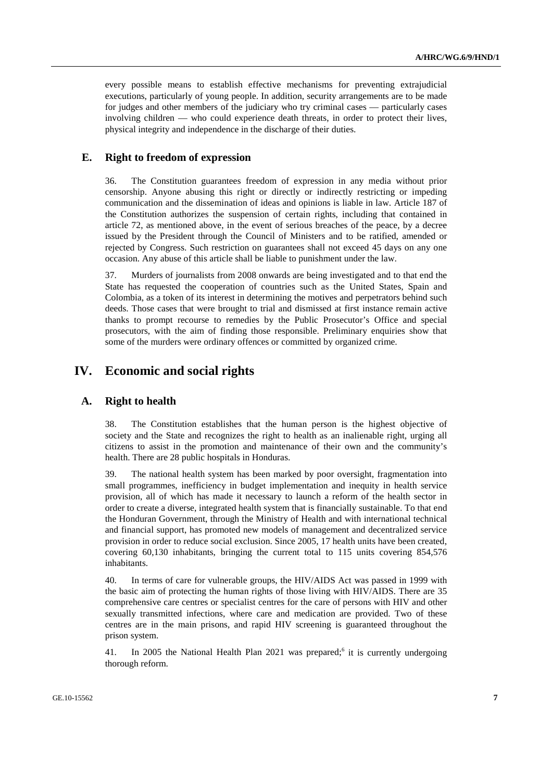every possible means to establish effective mechanisms for preventing extrajudicial executions, particularly of young people. In addition, security arrangements are to be made for judges and other members of the judiciary who try criminal cases — particularly cases involving children — who could experience death threats, in order to protect their lives, physical integrity and independence in the discharge of their duties.

## **E. Right to freedom of expression**

36. The Constitution guarantees freedom of expression in any media without prior censorship. Anyone abusing this right or directly or indirectly restricting or impeding communication and the dissemination of ideas and opinions is liable in law. Article 187 of the Constitution authorizes the suspension of certain rights, including that contained in article 72, as mentioned above, in the event of serious breaches of the peace, by a decree issued by the President through the Council of Ministers and to be ratified, amended or rejected by Congress. Such restriction on guarantees shall not exceed 45 days on any one occasion. Any abuse of this article shall be liable to punishment under the law.

37. Murders of journalists from 2008 onwards are being investigated and to that end the State has requested the cooperation of countries such as the United States, Spain and Colombia, as a token of its interest in determining the motives and perpetrators behind such deeds. Those cases that were brought to trial and dismissed at first instance remain active thanks to prompt recourse to remedies by the Public Prosecutor's Office and special prosecutors, with the aim of finding those responsible. Preliminary enquiries show that some of the murders were ordinary offences or committed by organized crime.

# **IV. Economic and social rights**

#### **A. Right to health**

38. The Constitution establishes that the human person is the highest objective of society and the State and recognizes the right to health as an inalienable right, urging all citizens to assist in the promotion and maintenance of their own and the community's health. There are 28 public hospitals in Honduras.

39. The national health system has been marked by poor oversight, fragmentation into small programmes, inefficiency in budget implementation and inequity in health service provision, all of which has made it necessary to launch a reform of the health sector in order to create a diverse, integrated health system that is financially sustainable. To that end the Honduran Government, through the Ministry of Health and with international technical and financial support, has promoted new models of management and decentralized service provision in order to reduce social exclusion. Since 2005, 17 health units have been created, covering 60,130 inhabitants, bringing the current total to 115 units covering 854,576 inhabitants.

40. In terms of care for vulnerable groups, the HIV/AIDS Act was passed in 1999 with the basic aim of protecting the human rights of those living with HIV/AIDS. There are 35 comprehensive care centres or specialist centres for the care of persons with HIV and other sexually transmitted infections, where care and medication are provided. Two of these centres are in the main prisons, and rapid HIV screening is guaranteed throughout the prison system.

41. In 2005 the National Health Plan 2021 was prepared;<sup>6</sup> it is currently undergoing thorough reform.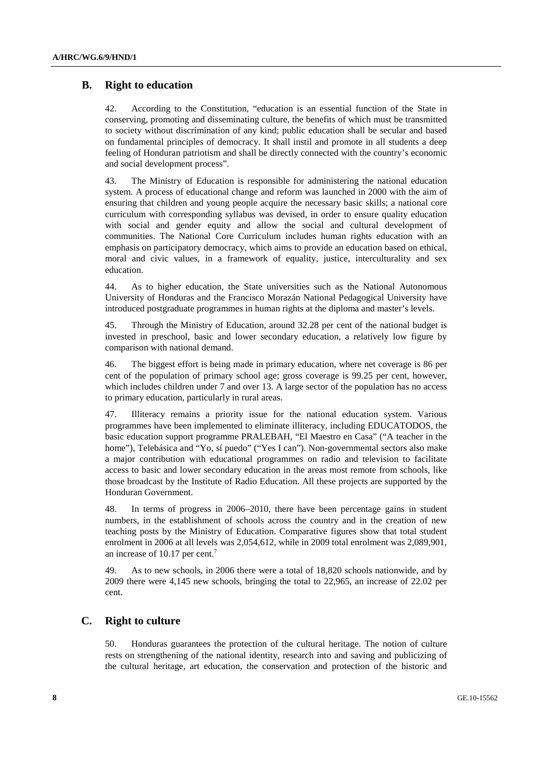## **B. Right to education**

42. According to the Constitution, "education is an essential function of the State in conserving, promoting and disseminating culture, the benefits of which must be transmitted to society without discrimination of any kind; public education shall be secular and based on fundamental principles of democracy. It shall instil and promote in all students a deep feeling of Honduran patriotism and shall be directly connected with the country's economic and social development process".

43. The Ministry of Education is responsible for administering the national education system. A process of educational change and reform was launched in 2000 with the aim of ensuring that children and young people acquire the necessary basic skills; a national core curriculum with corresponding syllabus was devised, in order to ensure quality education with social and gender equity and allow the social and cultural development of communities. The National Core Curriculum includes human rights education with an emphasis on participatory democracy, which aims to provide an education based on ethical, moral and civic values, in a framework of equality, justice, interculturality and sex education.

44. As to higher education, the State universities such as the National Autonomous University of Honduras and the Francisco Morazán National Pedagogical University have introduced postgraduate programmes in human rights at the diploma and master's levels.

45. Through the Ministry of Education, around 32.28 per cent of the national budget is invested in preschool, basic and lower secondary education, a relatively low figure by comparison with national demand.

46. The biggest effort is being made in primary education, where net coverage is 86 per cent of the population of primary school age; gross coverage is 99.25 per cent, however, which includes children under 7 and over 13. A large sector of the population has no access to primary education, particularly in rural areas.

47. Illiteracy remains a priority issue for the national education system. Various programmes have been implemented to eliminate illiteracy, including EDUCATODOS, the basic education support programme PRALEBAH, "El Maestro en Casa" ("A teacher in the home"), Telebásica and "Yo, sí puedo" ("Yes I can"). Non-governmental sectors also make a major contribution with educational programmes on radio and television to facilitate access to basic and lower secondary education in the areas most remote from schools, like those broadcast by the Institute of Radio Education. All these projects are supported by the Honduran Government.

48. In terms of progress in 2006–2010, there have been percentage gains in student numbers, in the establishment of schools across the country and in the creation of new teaching posts by the Ministry of Education. Comparative figures show that total student enrolment in 2006 at all levels was 2,054,612, while in 2009 total enrolment was 2,089,901, an increase of 10.17 per cent.<sup>7</sup>

49. As to new schools, in 2006 there were a total of 18,820 schools nationwide, and by 2009 there were 4,145 new schools, bringing the total to 22,965, an increase of 22.02 per cent.

### **C. Right to culture**

50. Honduras guarantees the protection of the cultural heritage. The notion of culture rests on strengthening of the national identity, research into and saving and publicizing of the cultural heritage, art education, the conservation and protection of the historic and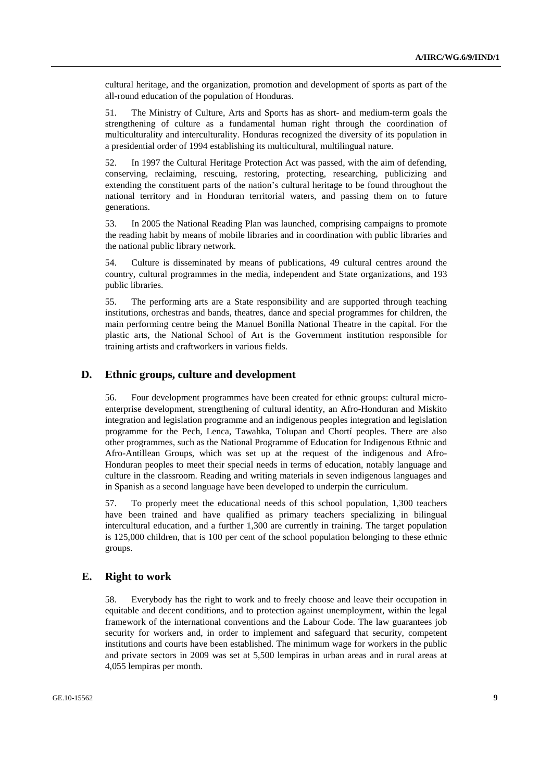cultural heritage, and the organization, promotion and development of sports as part of the all-round education of the population of Honduras.

51. The Ministry of Culture, Arts and Sports has as short- and medium-term goals the strengthening of culture as a fundamental human right through the coordination of multiculturality and interculturality. Honduras recognized the diversity of its population in a presidential order of 1994 establishing its multicultural, multilingual nature.

52. In 1997 the Cultural Heritage Protection Act was passed, with the aim of defending, conserving, reclaiming, rescuing, restoring, protecting, researching, publicizing and extending the constituent parts of the nation's cultural heritage to be found throughout the national territory and in Honduran territorial waters, and passing them on to future generations.

53. In 2005 the National Reading Plan was launched, comprising campaigns to promote the reading habit by means of mobile libraries and in coordination with public libraries and the national public library network.

54. Culture is disseminated by means of publications, 49 cultural centres around the country, cultural programmes in the media, independent and State organizations, and 193 public libraries.

55. The performing arts are a State responsibility and are supported through teaching institutions, orchestras and bands, theatres, dance and special programmes for children, the main performing centre being the Manuel Bonilla National Theatre in the capital. For the plastic arts, the National School of Art is the Government institution responsible for training artists and craftworkers in various fields.

#### **D. Ethnic groups, culture and development**

56. Four development programmes have been created for ethnic groups: cultural microenterprise development, strengthening of cultural identity, an Afro-Honduran and Miskito integration and legislation programme and an indigenous peoples integration and legislation programme for the Pech, Lenca, Tawahka, Tolupan and Chortí peoples. There are also other programmes, such as the National Programme of Education for Indigenous Ethnic and Afro-Antillean Groups, which was set up at the request of the indigenous and Afro-Honduran peoples to meet their special needs in terms of education, notably language and culture in the classroom. Reading and writing materials in seven indigenous languages and in Spanish as a second language have been developed to underpin the curriculum.

57. To properly meet the educational needs of this school population, 1,300 teachers have been trained and have qualified as primary teachers specializing in bilingual intercultural education, and a further 1,300 are currently in training. The target population is 125,000 children, that is 100 per cent of the school population belonging to these ethnic groups.

#### **E. Right to work**

58. Everybody has the right to work and to freely choose and leave their occupation in equitable and decent conditions, and to protection against unemployment, within the legal framework of the international conventions and the Labour Code. The law guarantees job security for workers and, in order to implement and safeguard that security, competent institutions and courts have been established. The minimum wage for workers in the public and private sectors in 2009 was set at 5,500 lempiras in urban areas and in rural areas at 4,055 lempiras per month.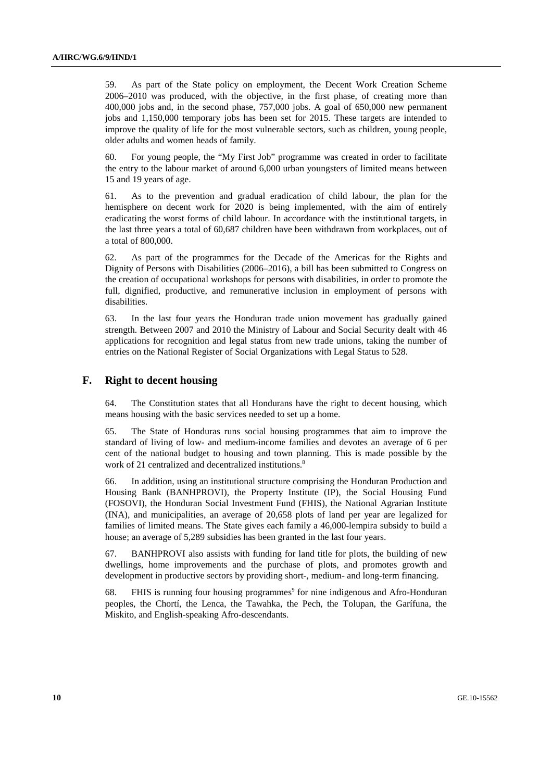59. As part of the State policy on employment, the Decent Work Creation Scheme 2006–2010 was produced, with the objective, in the first phase, of creating more than 400,000 jobs and, in the second phase, 757,000 jobs. A goal of 650,000 new permanent jobs and 1,150,000 temporary jobs has been set for 2015. These targets are intended to improve the quality of life for the most vulnerable sectors, such as children, young people, older adults and women heads of family.

60. For young people, the "My First Job" programme was created in order to facilitate the entry to the labour market of around 6,000 urban youngsters of limited means between 15 and 19 years of age.

61. As to the prevention and gradual eradication of child labour, the plan for the hemisphere on decent work for 2020 is being implemented, with the aim of entirely eradicating the worst forms of child labour. In accordance with the institutional targets, in the last three years a total of 60,687 children have been withdrawn from workplaces, out of a total of 800,000.

62. As part of the programmes for the Decade of the Americas for the Rights and Dignity of Persons with Disabilities (2006–2016), a bill has been submitted to Congress on the creation of occupational workshops for persons with disabilities, in order to promote the full, dignified, productive, and remunerative inclusion in employment of persons with disabilities.

63. In the last four years the Honduran trade union movement has gradually gained strength. Between 2007 and 2010 the Ministry of Labour and Social Security dealt with 46 applications for recognition and legal status from new trade unions, taking the number of entries on the National Register of Social Organizations with Legal Status to 528.

#### **F. Right to decent housing**

64. The Constitution states that all Hondurans have the right to decent housing, which means housing with the basic services needed to set up a home.

65. The State of Honduras runs social housing programmes that aim to improve the standard of living of low- and medium-income families and devotes an average of 6 per cent of the national budget to housing and town planning. This is made possible by the work of 21 centralized and decentralized institutions.<sup>8</sup>

66. In addition, using an institutional structure comprising the Honduran Production and Housing Bank (BANHPROVI), the Property Institute (IP), the Social Housing Fund (FOSOVI), the Honduran Social Investment Fund (FHIS), the National Agrarian Institute (INA), and municipalities, an average of 20,658 plots of land per year are legalized for families of limited means. The State gives each family a 46,000-lempira subsidy to build a house; an average of 5,289 subsidies has been granted in the last four years.

67. BANHPROVI also assists with funding for land title for plots, the building of new dwellings, home improvements and the purchase of plots, and promotes growth and development in productive sectors by providing short-, medium- and long-term financing.

68. FHIS is running four housing programmes<sup>9</sup> for nine indigenous and Afro-Honduran peoples, the Chortí, the Lenca, the Tawahka, the Pech, the Tolupan, the Garífuna, the Miskito, and English-speaking Afro-descendants.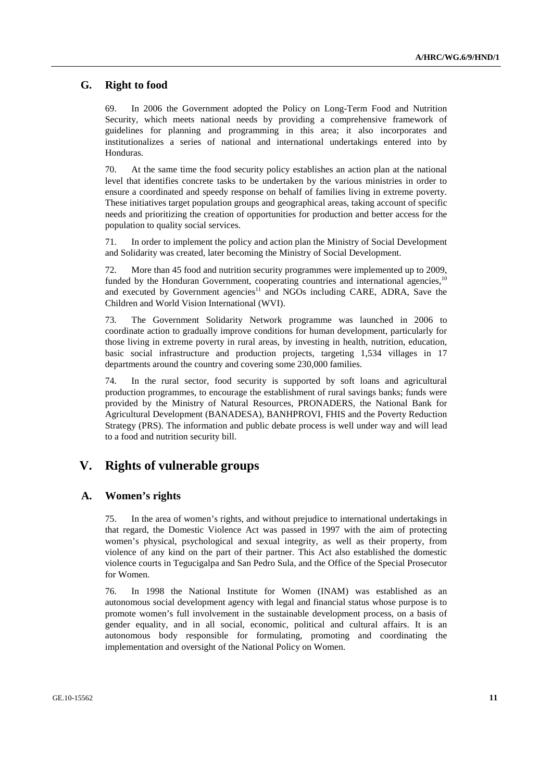#### **G. Right to food**

69. In 2006 the Government adopted the Policy on Long-Term Food and Nutrition Security, which meets national needs by providing a comprehensive framework of guidelines for planning and programming in this area; it also incorporates and institutionalizes a series of national and international undertakings entered into by Honduras.

70. At the same time the food security policy establishes an action plan at the national level that identifies concrete tasks to be undertaken by the various ministries in order to ensure a coordinated and speedy response on behalf of families living in extreme poverty. These initiatives target population groups and geographical areas, taking account of specific needs and prioritizing the creation of opportunities for production and better access for the population to quality social services.

71. In order to implement the policy and action plan the Ministry of Social Development and Solidarity was created, later becoming the Ministry of Social Development.

72. More than 45 food and nutrition security programmes were implemented up to 2009, funded by the Honduran Government, cooperating countries and international agencies,<sup>10</sup> and executed by Government agencies<sup>11</sup> and NGOs including CARE, ADRA, Save the Children and World Vision International (WVI).

73. The Government Solidarity Network programme was launched in 2006 to coordinate action to gradually improve conditions for human development, particularly for those living in extreme poverty in rural areas, by investing in health, nutrition, education, basic social infrastructure and production projects, targeting 1,534 villages in 17 departments around the country and covering some 230,000 families.

74. In the rural sector, food security is supported by soft loans and agricultural production programmes, to encourage the establishment of rural savings banks; funds were provided by the Ministry of Natural Resources, PRONADERS, the National Bank for Agricultural Development (BANADESA), BANHPROVI, FHIS and the Poverty Reduction Strategy (PRS). The information and public debate process is well under way and will lead to a food and nutrition security bill.

# **V. Rights of vulnerable groups**

#### **A. Women's rights**

75. In the area of women's rights, and without prejudice to international undertakings in that regard, the Domestic Violence Act was passed in 1997 with the aim of protecting women's physical, psychological and sexual integrity, as well as their property, from violence of any kind on the part of their partner. This Act also established the domestic violence courts in Tegucigalpa and San Pedro Sula, and the Office of the Special Prosecutor for Women.

76. In 1998 the National Institute for Women (INAM) was established as an autonomous social development agency with legal and financial status whose purpose is to promote women's full involvement in the sustainable development process, on a basis of gender equality, and in all social, economic, political and cultural affairs. It is an autonomous body responsible for formulating, promoting and coordinating the implementation and oversight of the National Policy on Women.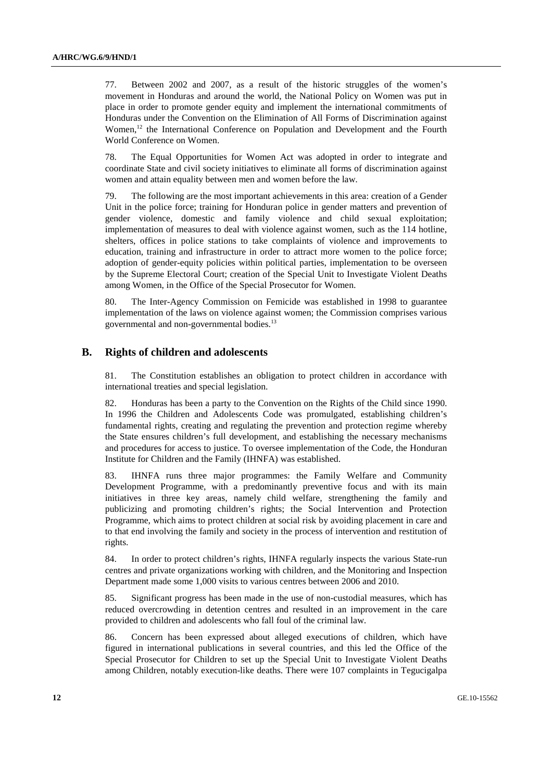77. Between 2002 and 2007, as a result of the historic struggles of the women's movement in Honduras and around the world, the National Policy on Women was put in place in order to promote gender equity and implement the international commitments of Honduras under the Convention on the Elimination of All Forms of Discrimination against Women,<sup>12</sup> the International Conference on Population and Development and the Fourth World Conference on Women.

78. The Equal Opportunities for Women Act was adopted in order to integrate and coordinate State and civil society initiatives to eliminate all forms of discrimination against women and attain equality between men and women before the law.

79. The following are the most important achievements in this area: creation of a Gender Unit in the police force; training for Honduran police in gender matters and prevention of gender violence, domestic and family violence and child sexual exploitation; implementation of measures to deal with violence against women, such as the 114 hotline, shelters, offices in police stations to take complaints of violence and improvements to education, training and infrastructure in order to attract more women to the police force; adoption of gender-equity policies within political parties, implementation to be overseen by the Supreme Electoral Court; creation of the Special Unit to Investigate Violent Deaths among Women, in the Office of the Special Prosecutor for Women.

80. The Inter-Agency Commission on Femicide was established in 1998 to guarantee implementation of the laws on violence against women; the Commission comprises various governmental and non-governmental bodies.<sup>13</sup>

# **B. Rights of children and adolescents**

81. The Constitution establishes an obligation to protect children in accordance with international treaties and special legislation.

82. Honduras has been a party to the Convention on the Rights of the Child since 1990. In 1996 the Children and Adolescents Code was promulgated, establishing children's fundamental rights, creating and regulating the prevention and protection regime whereby the State ensures children's full development, and establishing the necessary mechanisms and procedures for access to justice. To oversee implementation of the Code, the Honduran Institute for Children and the Family (IHNFA) was established.

83. IHNFA runs three major programmes: the Family Welfare and Community Development Programme, with a predominantly preventive focus and with its main initiatives in three key areas, namely child welfare, strengthening the family and publicizing and promoting children's rights; the Social Intervention and Protection Programme, which aims to protect children at social risk by avoiding placement in care and to that end involving the family and society in the process of intervention and restitution of rights.

84. In order to protect children's rights, IHNFA regularly inspects the various State-run centres and private organizations working with children, and the Monitoring and Inspection Department made some 1,000 visits to various centres between 2006 and 2010.

85. Significant progress has been made in the use of non-custodial measures, which has reduced overcrowding in detention centres and resulted in an improvement in the care provided to children and adolescents who fall foul of the criminal law.

86. Concern has been expressed about alleged executions of children, which have figured in international publications in several countries, and this led the Office of the Special Prosecutor for Children to set up the Special Unit to Investigate Violent Deaths among Children, notably execution-like deaths. There were 107 complaints in Tegucigalpa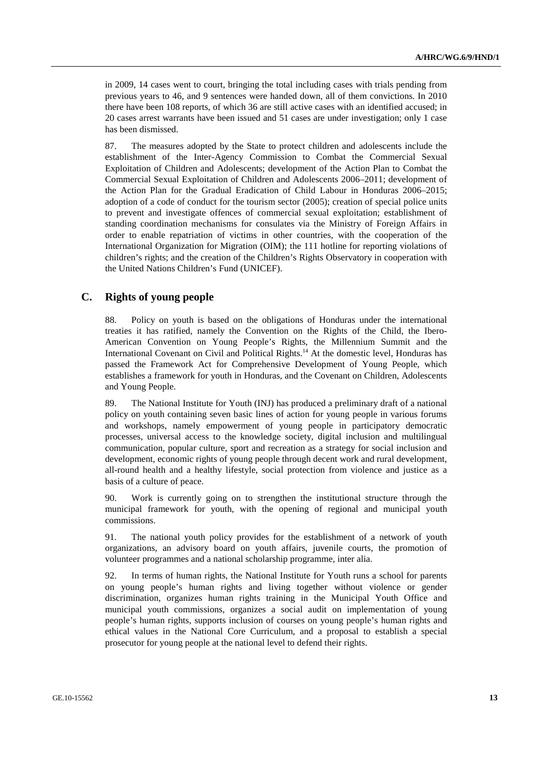in 2009, 14 cases went to court, bringing the total including cases with trials pending from previous years to 46, and 9 sentences were handed down, all of them convictions. In 2010 there have been 108 reports, of which 36 are still active cases with an identified accused; in 20 cases arrest warrants have been issued and 51 cases are under investigation; only 1 case has been dismissed.

87. The measures adopted by the State to protect children and adolescents include the establishment of the Inter-Agency Commission to Combat the Commercial Sexual Exploitation of Children and Adolescents; development of the Action Plan to Combat the Commercial Sexual Exploitation of Children and Adolescents 2006–2011; development of the Action Plan for the Gradual Eradication of Child Labour in Honduras 2006–2015; adoption of a code of conduct for the tourism sector (2005); creation of special police units to prevent and investigate offences of commercial sexual exploitation; establishment of standing coordination mechanisms for consulates via the Ministry of Foreign Affairs in order to enable repatriation of victims in other countries, with the cooperation of the International Organization for Migration (OIM); the 111 hotline for reporting violations of children's rights; and the creation of the Children's Rights Observatory in cooperation with the United Nations Children's Fund (UNICEF).

#### **C. Rights of young people**

88. Policy on youth is based on the obligations of Honduras under the international treaties it has ratified, namely the Convention on the Rights of the Child, the Ibero-American Convention on Young People's Rights, the Millennium Summit and the International Covenant on Civil and Political Rights.<sup>14</sup> At the domestic level, Honduras has passed the Framework Act for Comprehensive Development of Young People, which establishes a framework for youth in Honduras, and the Covenant on Children, Adolescents and Young People.

89. The National Institute for Youth (INJ) has produced a preliminary draft of a national policy on youth containing seven basic lines of action for young people in various forums and workshops, namely empowerment of young people in participatory democratic processes, universal access to the knowledge society, digital inclusion and multilingual communication, popular culture, sport and recreation as a strategy for social inclusion and development, economic rights of young people through decent work and rural development, all-round health and a healthy lifestyle, social protection from violence and justice as a basis of a culture of peace.

90. Work is currently going on to strengthen the institutional structure through the municipal framework for youth, with the opening of regional and municipal youth commissions.

91. The national youth policy provides for the establishment of a network of youth organizations, an advisory board on youth affairs, juvenile courts, the promotion of volunteer programmes and a national scholarship programme, inter alia.

92. In terms of human rights, the National Institute for Youth runs a school for parents on young people's human rights and living together without violence or gender discrimination, organizes human rights training in the Municipal Youth Office and municipal youth commissions, organizes a social audit on implementation of young people's human rights, supports inclusion of courses on young people's human rights and ethical values in the National Core Curriculum, and a proposal to establish a special prosecutor for young people at the national level to defend their rights.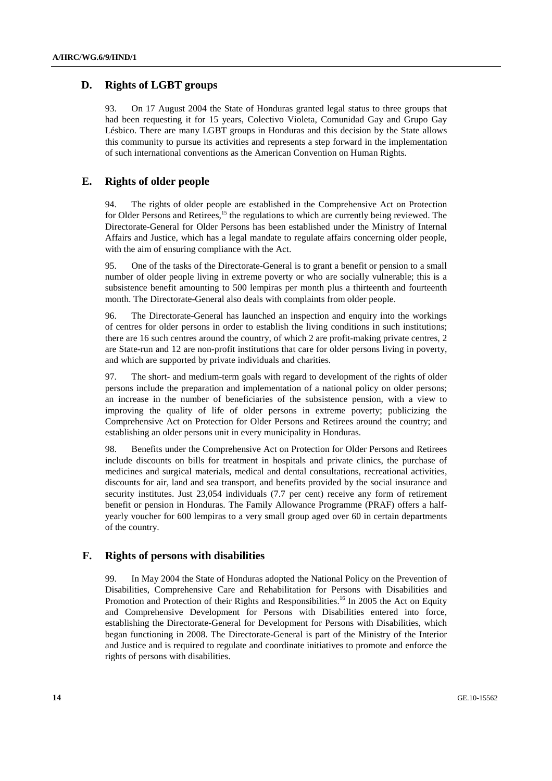# **D. Rights of LGBT groups**

93. On 17 August 2004 the State of Honduras granted legal status to three groups that had been requesting it for 15 years, Colectivo Violeta, Comunidad Gay and Grupo Gay Lésbico. There are many LGBT groups in Honduras and this decision by the State allows this community to pursue its activities and represents a step forward in the implementation of such international conventions as the American Convention on Human Rights.

## **E. Rights of older people**

94. The rights of older people are established in the Comprehensive Act on Protection for Older Persons and Retirees, $<sup>15</sup>$  the regulations to which are currently being reviewed. The</sup> Directorate-General for Older Persons has been established under the Ministry of Internal Affairs and Justice, which has a legal mandate to regulate affairs concerning older people, with the aim of ensuring compliance with the Act.

95. One of the tasks of the Directorate-General is to grant a benefit or pension to a small number of older people living in extreme poverty or who are socially vulnerable; this is a subsistence benefit amounting to 500 lempiras per month plus a thirteenth and fourteenth month. The Directorate-General also deals with complaints from older people.

96. The Directorate-General has launched an inspection and enquiry into the workings of centres for older persons in order to establish the living conditions in such institutions; there are 16 such centres around the country, of which 2 are profit-making private centres, 2 are State-run and 12 are non-profit institutions that care for older persons living in poverty, and which are supported by private individuals and charities.

97. The short- and medium-term goals with regard to development of the rights of older persons include the preparation and implementation of a national policy on older persons; an increase in the number of beneficiaries of the subsistence pension, with a view to improving the quality of life of older persons in extreme poverty; publicizing the Comprehensive Act on Protection for Older Persons and Retirees around the country; and establishing an older persons unit in every municipality in Honduras.

98. Benefits under the Comprehensive Act on Protection for Older Persons and Retirees include discounts on bills for treatment in hospitals and private clinics, the purchase of medicines and surgical materials, medical and dental consultations, recreational activities, discounts for air, land and sea transport, and benefits provided by the social insurance and security institutes. Just 23,054 individuals (7.7 per cent) receive any form of retirement benefit or pension in Honduras. The Family Allowance Programme (PRAF) offers a halfyearly voucher for 600 lempiras to a very small group aged over 60 in certain departments of the country.

### **F. Rights of persons with disabilities**

99. In May 2004 the State of Honduras adopted the National Policy on the Prevention of Disabilities, Comprehensive Care and Rehabilitation for Persons with Disabilities and Promotion and Protection of their Rights and Responsibilities.<sup>16</sup> In 2005 the Act on Equity and Comprehensive Development for Persons with Disabilities entered into force, establishing the Directorate-General for Development for Persons with Disabilities, which began functioning in 2008. The Directorate-General is part of the Ministry of the Interior and Justice and is required to regulate and coordinate initiatives to promote and enforce the rights of persons with disabilities.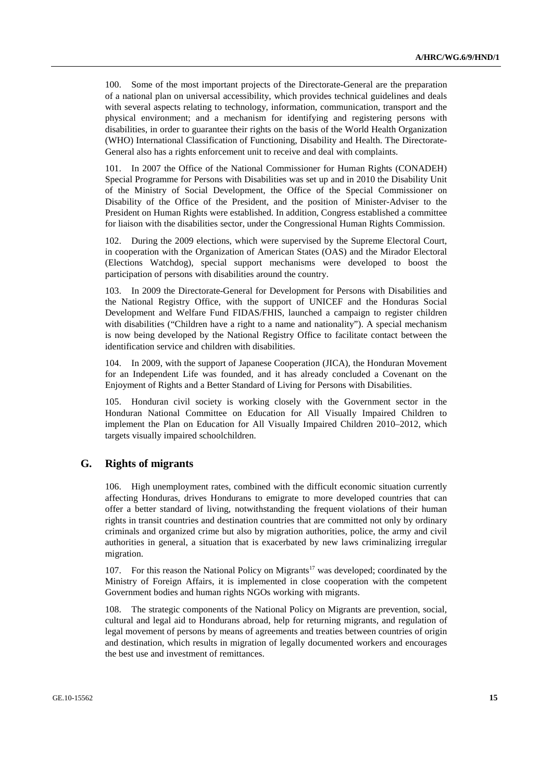100. Some of the most important projects of the Directorate-General are the preparation of a national plan on universal accessibility, which provides technical guidelines and deals with several aspects relating to technology, information, communication, transport and the physical environment; and a mechanism for identifying and registering persons with disabilities, in order to guarantee their rights on the basis of the World Health Organization (WHO) International Classification of Functioning, Disability and Health. The Directorate-General also has a rights enforcement unit to receive and deal with complaints.

101. In 2007 the Office of the National Commissioner for Human Rights (CONADEH) Special Programme for Persons with Disabilities was set up and in 2010 the Disability Unit of the Ministry of Social Development, the Office of the Special Commissioner on Disability of the Office of the President, and the position of Minister-Adviser to the President on Human Rights were established. In addition, Congress established a committee for liaison with the disabilities sector, under the Congressional Human Rights Commission.

102. During the 2009 elections, which were supervised by the Supreme Electoral Court, in cooperation with the Organization of American States (OAS) and the Mirador Electoral (Elections Watchdog), special support mechanisms were developed to boost the participation of persons with disabilities around the country.

103. In 2009 the Directorate-General for Development for Persons with Disabilities and the National Registry Office, with the support of UNICEF and the Honduras Social Development and Welfare Fund FIDAS/FHIS, launched a campaign to register children with disabilities ("Children have a right to a name and nationality"). A special mechanism is now being developed by the National Registry Office to facilitate contact between the identification service and children with disabilities.

104. In 2009, with the support of Japanese Cooperation (JICA), the Honduran Movement for an Independent Life was founded, and it has already concluded a Covenant on the Enjoyment of Rights and a Better Standard of Living for Persons with Disabilities.

105. Honduran civil society is working closely with the Government sector in the Honduran National Committee on Education for All Visually Impaired Children to implement the Plan on Education for All Visually Impaired Children 2010–2012, which targets visually impaired schoolchildren.

#### **G. Rights of migrants**

106. High unemployment rates, combined with the difficult economic situation currently affecting Honduras, drives Hondurans to emigrate to more developed countries that can offer a better standard of living, notwithstanding the frequent violations of their human rights in transit countries and destination countries that are committed not only by ordinary criminals and organized crime but also by migration authorities, police, the army and civil authorities in general, a situation that is exacerbated by new laws criminalizing irregular migration.

107. For this reason the National Policy on Migrants<sup>17</sup> was developed; coordinated by the Ministry of Foreign Affairs, it is implemented in close cooperation with the competent Government bodies and human rights NGOs working with migrants.

108. The strategic components of the National Policy on Migrants are prevention, social, cultural and legal aid to Hondurans abroad, help for returning migrants, and regulation of legal movement of persons by means of agreements and treaties between countries of origin and destination, which results in migration of legally documented workers and encourages the best use and investment of remittances.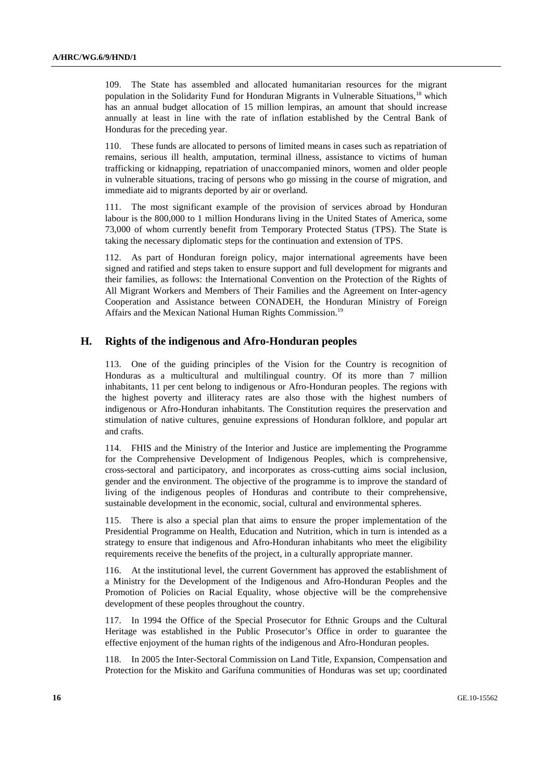109. The State has assembled and allocated humanitarian resources for the migrant population in the Solidarity Fund for Honduran Migrants in Vulnerable Situations,<sup>18</sup> which has an annual budget allocation of 15 million lempiras, an amount that should increase annually at least in line with the rate of inflation established by the Central Bank of Honduras for the preceding year.

110. These funds are allocated to persons of limited means in cases such as repatriation of remains, serious ill health, amputation, terminal illness, assistance to victims of human trafficking or kidnapping, repatriation of unaccompanied minors, women and older people in vulnerable situations, tracing of persons who go missing in the course of migration, and immediate aid to migrants deported by air or overland.

111. The most significant example of the provision of services abroad by Honduran labour is the 800,000 to 1 million Hondurans living in the United States of America, some 73,000 of whom currently benefit from Temporary Protected Status (TPS). The State is taking the necessary diplomatic steps for the continuation and extension of TPS.

112. As part of Honduran foreign policy, major international agreements have been signed and ratified and steps taken to ensure support and full development for migrants and their families, as follows: the International Convention on the Protection of the Rights of All Migrant Workers and Members of Their Families and the Agreement on Inter-agency Cooperation and Assistance between CONADEH, the Honduran Ministry of Foreign Affairs and the Mexican National Human Rights Commission.<sup>19</sup>

#### **H. Rights of the indigenous and Afro-Honduran peoples**

113. One of the guiding principles of the Vision for the Country is recognition of Honduras as a multicultural and multilingual country. Of its more than 7 million inhabitants, 11 per cent belong to indigenous or Afro-Honduran peoples. The regions with the highest poverty and illiteracy rates are also those with the highest numbers of indigenous or Afro-Honduran inhabitants. The Constitution requires the preservation and stimulation of native cultures, genuine expressions of Honduran folklore, and popular art and crafts.

114. FHIS and the Ministry of the Interior and Justice are implementing the Programme for the Comprehensive Development of Indigenous Peoples, which is comprehensive, cross-sectoral and participatory, and incorporates as cross-cutting aims social inclusion, gender and the environment. The objective of the programme is to improve the standard of living of the indigenous peoples of Honduras and contribute to their comprehensive, sustainable development in the economic, social, cultural and environmental spheres.

There is also a special plan that aims to ensure the proper implementation of the Presidential Programme on Health, Education and Nutrition, which in turn is intended as a strategy to ensure that indigenous and Afro-Honduran inhabitants who meet the eligibility requirements receive the benefits of the project, in a culturally appropriate manner.

116. At the institutional level, the current Government has approved the establishment of a Ministry for the Development of the Indigenous and Afro-Honduran Peoples and the Promotion of Policies on Racial Equality, whose objective will be the comprehensive development of these peoples throughout the country.

117. In 1994 the Office of the Special Prosecutor for Ethnic Groups and the Cultural Heritage was established in the Public Prosecutor's Office in order to guarantee the effective enjoyment of the human rights of the indigenous and Afro-Honduran peoples.

118. In 2005 the Inter-Sectoral Commission on Land Title, Expansion, Compensation and Protection for the Miskito and Garífuna communities of Honduras was set up; coordinated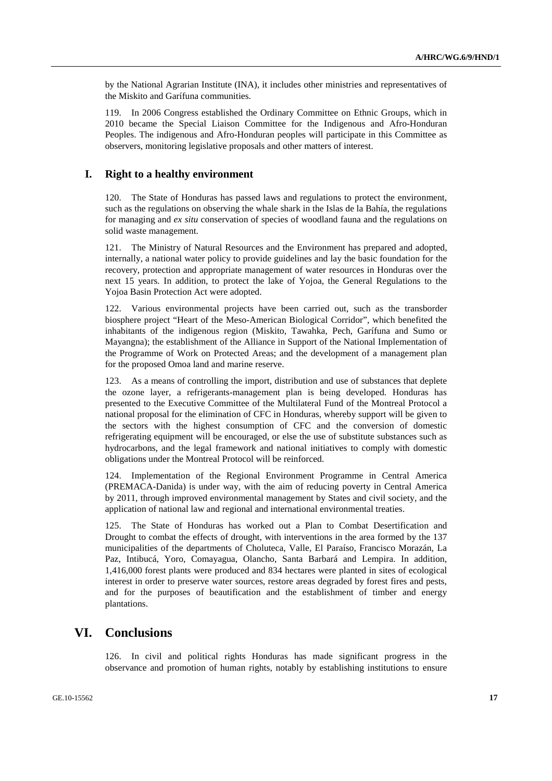by the National Agrarian Institute (INA), it includes other ministries and representatives of the Miskito and Garífuna communities.

119. In 2006 Congress established the Ordinary Committee on Ethnic Groups, which in 2010 became the Special Liaison Committee for the Indigenous and Afro-Honduran Peoples. The indigenous and Afro-Honduran peoples will participate in this Committee as observers, monitoring legislative proposals and other matters of interest.

#### **I. Right to a healthy environment**

120. The State of Honduras has passed laws and regulations to protect the environment, such as the regulations on observing the whale shark in the Islas de la Bahía, the regulations for managing and *ex situ* conservation of species of woodland fauna and the regulations on solid waste management.

121. The Ministry of Natural Resources and the Environment has prepared and adopted, internally, a national water policy to provide guidelines and lay the basic foundation for the recovery, protection and appropriate management of water resources in Honduras over the next 15 years. In addition, to protect the lake of Yojoa, the General Regulations to the Yojoa Basin Protection Act were adopted.

122. Various environmental projects have been carried out, such as the transborder biosphere project "Heart of the Meso-American Biological Corridor", which benefited the inhabitants of the indigenous region (Miskito, Tawahka, Pech, Garífuna and Sumo or Mayangna); the establishment of the Alliance in Support of the National Implementation of the Programme of Work on Protected Areas; and the development of a management plan for the proposed Omoa land and marine reserve.

123. As a means of controlling the import, distribution and use of substances that deplete the ozone layer, a refrigerants-management plan is being developed. Honduras has presented to the Executive Committee of the Multilateral Fund of the Montreal Protocol a national proposal for the elimination of CFC in Honduras, whereby support will be given to the sectors with the highest consumption of CFC and the conversion of domestic refrigerating equipment will be encouraged, or else the use of substitute substances such as hydrocarbons, and the legal framework and national initiatives to comply with domestic obligations under the Montreal Protocol will be reinforced.

124. Implementation of the Regional Environment Programme in Central America (PREMACA-Danida) is under way, with the aim of reducing poverty in Central America by 2011, through improved environmental management by States and civil society, and the application of national law and regional and international environmental treaties.

125. The State of Honduras has worked out a Plan to Combat Desertification and Drought to combat the effects of drought, with interventions in the area formed by the 137 municipalities of the departments of Choluteca, Valle, El Paraíso, Francisco Morazán, La Paz, Intibucá, Yoro, Comayagua, Olancho, Santa Barbará and Lempira. In addition, 1,416,000 forest plants were produced and 834 hectares were planted in sites of ecological interest in order to preserve water sources, restore areas degraded by forest fires and pests, and for the purposes of beautification and the establishment of timber and energy plantations.

# **VI. Conclusions**

126. In civil and political rights Honduras has made significant progress in the observance and promotion of human rights, notably by establishing institutions to ensure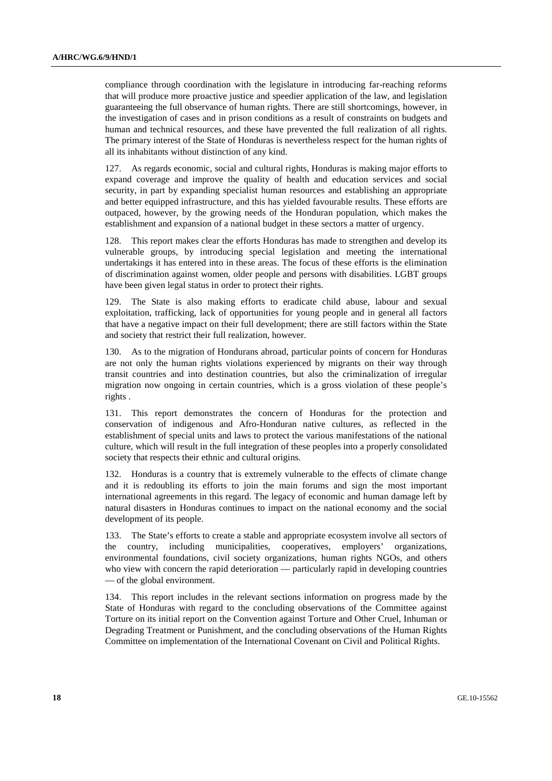compliance through coordination with the legislature in introducing far-reaching reforms that will produce more proactive justice and speedier application of the law, and legislation guaranteeing the full observance of human rights. There are still shortcomings, however, in the investigation of cases and in prison conditions as a result of constraints on budgets and human and technical resources, and these have prevented the full realization of all rights. The primary interest of the State of Honduras is nevertheless respect for the human rights of all its inhabitants without distinction of any kind.

127. As regards economic, social and cultural rights, Honduras is making major efforts to expand coverage and improve the quality of health and education services and social security, in part by expanding specialist human resources and establishing an appropriate and better equipped infrastructure, and this has yielded favourable results. These efforts are outpaced, however, by the growing needs of the Honduran population, which makes the establishment and expansion of a national budget in these sectors a matter of urgency.

128. This report makes clear the efforts Honduras has made to strengthen and develop its vulnerable groups, by introducing special legislation and meeting the international undertakings it has entered into in these areas. The focus of these efforts is the elimination of discrimination against women, older people and persons with disabilities. LGBT groups have been given legal status in order to protect their rights.

129. The State is also making efforts to eradicate child abuse, labour and sexual exploitation, trafficking, lack of opportunities for young people and in general all factors that have a negative impact on their full development; there are still factors within the State and society that restrict their full realization, however.

130. As to the migration of Hondurans abroad, particular points of concern for Honduras are not only the human rights violations experienced by migrants on their way through transit countries and into destination countries, but also the criminalization of irregular migration now ongoing in certain countries, which is a gross violation of these people's rights .

131. This report demonstrates the concern of Honduras for the protection and conservation of indigenous and Afro-Honduran native cultures, as reflected in the establishment of special units and laws to protect the various manifestations of the national culture, which will result in the full integration of these peoples into a properly consolidated society that respects their ethnic and cultural origins.

132. Honduras is a country that is extremely vulnerable to the effects of climate change and it is redoubling its efforts to join the main forums and sign the most important international agreements in this regard. The legacy of economic and human damage left by natural disasters in Honduras continues to impact on the national economy and the social development of its people.

133. The State's efforts to create a stable and appropriate ecosystem involve all sectors of the country, including municipalities, cooperatives, employers' organizations, environmental foundations, civil society organizations, human rights NGOs, and others who view with concern the rapid deterioration — particularly rapid in developing countries — of the global environment.

134. This report includes in the relevant sections information on progress made by the State of Honduras with regard to the concluding observations of the Committee against Torture on its initial report on the Convention against Torture and Other Cruel, Inhuman or Degrading Treatment or Punishment, and the concluding observations of the Human Rights Committee on implementation of the International Covenant on Civil and Political Rights.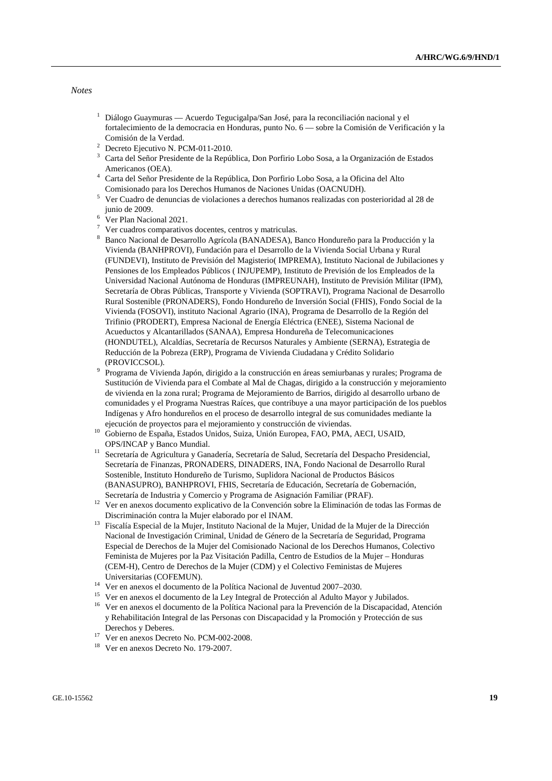#### *Notes*

- <sup>1</sup> Diálogo Guaymuras Acuerdo Tegucigalpa/San José, para la reconciliación nacional y el fortalecimiento de la democracia en Honduras, punto No. 6 — sobre la Comisión de Verificación y la
- Comisión de la Verdad. 2 Decreto Ejecutivo N. PCM-011-2010.
- <sup>3</sup> Carta del Señor Presidente de la República, Don Porfirio Lobo Sosa, a la Organización de Estados
- Americanos (OEA). 4 Carta del Señor Presidente de la República, Don Porfirio Lobo Sosa, a la Oficina del Alto Comisionado para los Derechos Humanos de Naciones Unidas (OACNUDH).
- Ver Cuadro de denuncias de violaciones a derechos humanos realizadas con posterioridad al 28 de junio de 2009.<br><sup>6</sup> Mer Plan Naci
- Ver Plan Nacional 2021.
- 7 Ver cuadros comparativos docentes, centros y matriculas.
- 8 Banco Nacional de Desarrollo Agrícola (BANADESA), Banco Hondureño para la Producción y la Vivienda (BANHPROVI), Fundación para el Desarrollo de la Vivienda Social Urbana y Rural (FUNDEVI), Instituto de Previsión del Magisterio( IMPREMA), Instituto Nacional de Jubilaciones y Pensiones de los Empleados Públicos ( INJUPEMP), Instituto de Previsión de los Empleados de la Universidad Nacional Autónoma de Honduras (IMPREUNAH), Instituto de Previsión Militar (IPM), Secretaría de Obras Públicas, Transporte y Vivienda (SOPTRAVI), Programa Nacional de Desarrollo Rural Sostenible (PRONADERS), Fondo Hondureño de Inversión Social (FHIS), Fondo Social de la Vivienda (FOSOVI), instituto Nacional Agrario (INA), Programa de Desarrollo de la Región del Trifinio (PRODERT), Empresa Nacional de Energía Eléctrica (ENEE), Sistema Nacional de Acueductos y Alcantarillados (SANAA), Empresa Hondureña de Telecomunicaciones (HONDUTEL), Alcaldías, Secretaría de Recursos Naturales y Ambiente (SERNA), Estrategia de Reducción de la Pobreza (ERP), Programa de Vivienda Ciudadana y Crédito Solidario (PROVICCSOL). 9 Programa de Vivienda Japón, dirigido a la construcción en áreas semiurbanas y rurales; Programa de
- Sustitución de Vivienda para el Combate al Mal de Chagas, dirigido a la construcción y mejoramiento de vivienda en la zona rural; Programa de Mejoramiento de Barrios, dirigido al desarrollo urbano de comunidades y el Programa Nuestras Raíces, que contribuye a una mayor participación de los pueblos Indígenas y Afro hondureños en el proceso de desarrollo integral de sus comunidades mediante la
- ejecución de proyectos para el mejoramiento y construcción de viviendas. 10 Gobierno de España, Estados Unidos, Suiza, Unión Europea, FAO, PMA, AECI, USAID,
- OPS/INCAP y Banco Mundial. 11 Secretaría de Agricultura y Ganadería, Secretaría de Salud, Secretaría del Despacho Presidencial, Secretaría de Finanzas, PRONADERS, DINADERS, INA, Fondo Nacional de Desarrollo Rural Sostenible, Instituto Hondureño de Turismo, Suplidora Nacional de Productos Básicos (BANASUPRO), BANHPROVI, FHIS, Secretaría de Educación, Secretaría de Gobernación,
- Secretaría de Industria y Comercio y Programa de Asignación Familiar (PRAF). 12 Ver en anexos documento explicativo de la Convención sobre la Eliminación de todas las Formas de
- Discriminación contra la Mujer elaborado por el INAM. 13 Fiscalía Especial de la Mujer, Instituto Nacional de la Mujer, Unidad de la Mujer de la Dirección Nacional de Investigación Criminal, Unidad de Género de la Secretaría de Seguridad, Programa Especial de Derechos de la Mujer del Comisionado Nacional de los Derechos Humanos, Colectivo Feminista de Mujeres por la Paz Visitación Padilla, Centro de Estudios de la Mujer – Honduras (CEM-H), Centro de Derechos de la Mujer (CDM) y el Colectivo Feministas de Mujeres
- Universitarias (COFEMUN). 14 Ver en anexos el documento de la Política Nacional de Juventud 2007–2030.
- <sup>15</sup> Ver en anexos el documento de la Ley Integral de Protección al Adulto Mayor y Jubilados.
- <sup>16</sup> Ver en anexos el documento de la Política Nacional para la Prevención de la Discapacidad, Atención y Rehabilitación Integral de las Personas con Discapacidad y la Promoción y Protección de sus Derechos y Deberes.<br><sup>17</sup> Ver en anexos Decreto No. PCM-002-2008.
- 
- 18 Ver en anexos Decreto No. 179-2007.